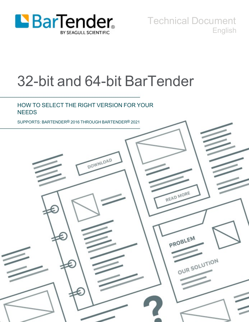

Technical Document English

# 32-bit and 64-bit BarTender

### HOW TO SELECT THE RIGHT VERSION FOR YOUR **NEEDS**

SUPPORTS: BARTENDER® 2016 THROUGH BARTENDER® 2021

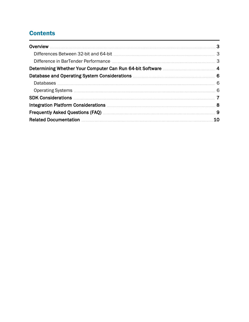# **Contents**

| Database and Operating System Considerations <b>Material Constanting Constanting Constanting Constanting Constanting</b>                                                                                                       |    |
|--------------------------------------------------------------------------------------------------------------------------------------------------------------------------------------------------------------------------------|----|
|                                                                                                                                                                                                                                |    |
|                                                                                                                                                                                                                                |    |
|                                                                                                                                                                                                                                |    |
|                                                                                                                                                                                                                                |    |
| Frequently Asked Questions (FAQ) Manual Communications and the Strequently Asked Questions (FAQ) Manual Communications of the Strequently Asked Cuestions (FAQ) Manual Communications (STREQUENTLY STREQUENTLY STREQUENTLY STR |    |
|                                                                                                                                                                                                                                | 10 |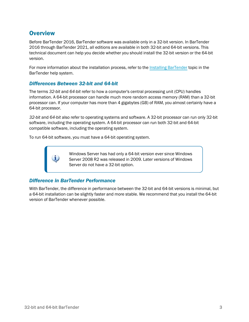### <span id="page-2-0"></span>**Overview**

Before BarTender 2016, BarTender software was available only in a 32-bit version. In BarTender 2016 through BarTender 2021, all editions are available in both 32-bit and 64-bit versions. This technical document can help you decide whether you should install the 32-bit version or the 64-bit version.

For more information about the installation process, refer to the Installing [BarTender](http://help.seagullscientific.com/#../Subsystems/GSM/Content/GS_Install.htm) topic in the BarTender help system.

### <span id="page-2-1"></span>*Differences Between 32-bit and 64-bit*

The terms *32-bit* and *64-bit* refer to how a computer's central processing unit (CPU) handles information. A 64-bit processor can handle much more random access memory (RAM) than a 32-bit processor can. If your computer has more than 4 gigabytes (GB) of RAM, you almost certainly have a 64-bit processor.

*32-bit* and *64-bit* also refer to operating systems and software. A 32-bit processor can run only 32-bit software, including the operating system. A 64-bit processor can run both 32-bit and 64-bit compatible software, including the operating system.

To run 64-bit software, you must have a 64-bit operating system.

Windows Server has had only a 64-bit version ever since Windows Server 2008 R2 was released in 2009. Later versions of Windows Server do not have a 32-bit option.

### <span id="page-2-2"></span>*Difference in BarTender Performance*

With BarTender, the difference in performance between the 32-bit and 64-bit versions is minimal, but a 64-bit installation can be slightly faster and more stable. We recommend that you install the 64-bit version of BarTender whenever possible.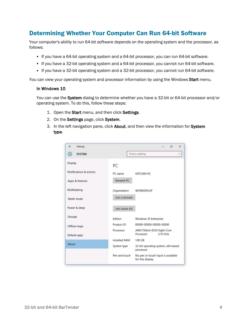### <span id="page-3-0"></span>Determining Whether Your Computer Can Run 64-bit Software

Your computer's ability to run 64-bit software depends on the operating system and the processor, as follows:

- If you have a 64-bit operating system and a 64-bit processor, you can run 64-bit software.
- If you have a 32-bit operating system and a 64-bit processor, you cannot run 64-bit software.
- If you have a 32-bit operating system and a 32-bit processor, you cannot run 64-bit software.

You can view your operating system and processor information by using the Windows Start menu.

#### In Windows 10

You can use the System dialog to determine whether you have a 32-bit or 64-bit processor and/or operating system. To do this, follow these steps:

- 1. Open the Start menu, and then click Settings.
- 2. On the Settings page, click System.
- 3. In the left navigation pane, click About, and then view the information for System type.

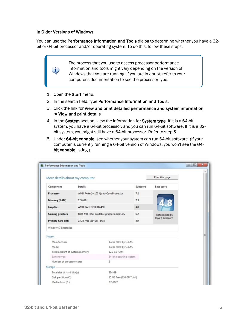#### In Older Versions of Windows

i.

You can use the Performance Information and Tools dialog to determine whether you have a 32bit or 64-bit processor and/or operating system. To do this, follow these steps.

> The process that you use to access processor performance information and tools might vary depending on the version of Windows that you are running. If you are in doubt, refer to your computer's documentation to see the processor type.

- 1. Open the Start menu.
- 2. In the search field, type Performance Information and Tools.
- 3. Click the link for View and print detailed performance and system information or View and print details.
- 4. In the System section, view the information for System type. If it is a 64-bit system, you have a 64-bit processor, and you can run 64-bit software. If it is a 32 bit system, you might still have a 64-bit processor. Refer to step 5.
- 5. Under 64-bit capable, see whether your system can run 64-bit software. (If your computer is currently running a 64-bit version of Windows, you won't see the 64 bit capable listing.)

| More details about my computer |                                         |                        |                         | Print this page |  |
|--------------------------------|-----------------------------------------|------------------------|-------------------------|-----------------|--|
| Component                      | Details                                 |                        | Subscore                | Base score      |  |
| Processor                      | AMD FX(tm)-4100 Quad-Core Processor     |                        | 7.2                     |                 |  |
| Memory (RAM)                   | 12.0 GB                                 |                        | 7.3                     |                 |  |
| <b>Graphics</b>                | AMD RADEON HD 6450                      |                        | 4.8                     |                 |  |
| <b>Gaming graphics</b>         | 6884 MB Total available graphics memory |                        | 6.2                     | Determined by   |  |
| Primary hard disk              | 15GB Free (234GB Total)                 |                        | 5.9                     | lowest subscore |  |
| Windows 7 Enterprise           |                                         |                        |                         |                 |  |
| System                         |                                         |                        |                         |                 |  |
| Manufacturer                   |                                         | To be filled by O.E.M. |                         |                 |  |
| Model                          |                                         | To be filled by O.E.M. |                         |                 |  |
| Total amount of system memory  |                                         | 12.0 GB RAM            |                         |                 |  |
| System type                    |                                         |                        | 64-bit operating system |                 |  |
| Number of processor cores      |                                         | $\overline{2}$         |                         |                 |  |
| Storage                        |                                         |                        |                         |                 |  |
| Total size of hard disk(s)     |                                         |                        | 234 GB                  |                 |  |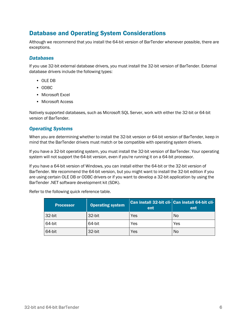# <span id="page-5-0"></span>Database and Operating System Considerations

Although we recommend that you install the 64-bit version of BarTender whenever possible, there are exceptions.

### <span id="page-5-1"></span>*Databases*

If you use 32-bit external database drivers, you must install the 32-bit version of BarTender. External database drivers include the following types:

- OLE DB
- ODBC
- Microsoft Excel
- Microsoft Access

Natively supported databases, such as Microsoft SQL Server, work with either the 32-bit or 64-bit version of BarTender.

### <span id="page-5-2"></span>*Operating Systems*

When you are determining whether to install the 32-bit version or 64-bit version of BarTender, keep in mind that the BarTender drivers must match or be compatible with operating system drivers.

If you have a 32-bit operating system, you must install the 32-bit version of BarTender. Your operating system will not support the 64-bit version, even if you're running it on a 64-bit processor.

If you have a 64-bit version of Windows, you can install either the 64-bit or the 32-bit version of BarTender. We recommend the 64-bit version, but you might want to install the 32-bit edition if you are using certain OLE DB or ODBC drivers or if you want to develop a 32-bit application by using the BarTender .NET software development kit (SDK).

Refer to the following quick reference table.

| <b>Processor</b> | <b>Operating system</b> | ent | Can install 32-bit cli- Can install 64-bit cli-<br>ent |
|------------------|-------------------------|-----|--------------------------------------------------------|
| 32-bit           | 32-bit                  | Yes | No                                                     |
| 64-bit           | 64-bit                  | Yes | Yes                                                    |
| 64-bit           | 32-bit                  | Yes | No                                                     |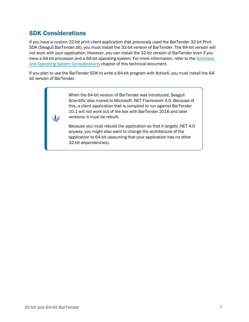### <span id="page-6-0"></span>SDK Considerations

i.

If you have a custom 32-bit print client application that previously used the BarTender 32-bit Print SDK (Seagull.BarTender.dll), you must install the 32-bit version of BarTender. The 64-bit version will not work with your application. However, you can install the 32-bit version of BarTender even if you have a 64-bit processor and a 64-bit operating system. For more information, refer to the [Database](#page-5-0) and Operating System [Considerations](#page-5-0) chapter of this technical document.

If you plan to use the BarTender SDK to write a 64-bit program with ActiveX, you must install the 64 bit version of BarTender.

> When the 64-bit version of BarTender was introduced, Seagull Scientific also moved to Microsoft .NET Framework 4.0. Because of this, a client application that is compiled to run against BarTender 10.1 will not work out of the box with BarTender 2016 and later versions; it must be rebuilt.

> Because you must rebuild the application so that it targets .NET 4.0 anyway, you might also want to change the architecture of the application to 64-bit (assuming that your application has no other 32-bit dependencies).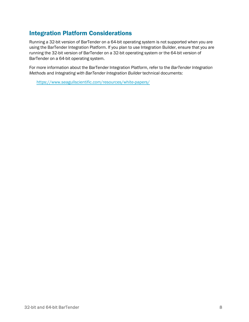## <span id="page-7-0"></span>Integration Platform Considerations

Running a 32-bit version of BarTender on a 64-bit operating system is not supported when you are using the BarTender Integration Platform. If you plan to use Integration Builder, ensure that you are running the 32-bit version of BarTender on a 32-bit operating system or the 64-bit version of BarTender on a 64-bit operating system.

For more information about the BarTender Integration Platform, refer to the *BarTender Integration Methods* and *Integrating with BarTender Integration Builder* technical documents:

<https://www.seagullscientific.com/resources/white-papers/>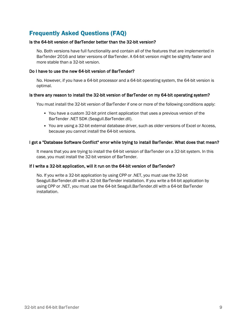# <span id="page-8-0"></span>Frequently Asked Questions (FAQ)

#### Is the 64-bit version of BarTender better than the 32-bit version?

No. Both versions have full functionality and contain all of the features that are implemented in BarTender 2016 and later versions of BarTender. A 64-bit version might be slightly faster and more stable than a 32-bit version.

#### Do I have to use the new 64-bit version of BarTender?

No. However, if you have a 64-bit processor and a 64-bit operating system, the 64-bit version is optimal.

#### Is there any reason to install the 32-bit version of BarTender on my 64-bit operating system?

You must install the 32-bit version of BarTender if one or more of the following conditions apply:

- You have a custom 32-bit print client application that uses a previous version of the BarTender .NET SDK (Seagull.BarTender.dll).
- You are using a 32-bit external database driver, such as older versions of Excel or Access, because you cannot install the 64-bit versions.

### I got a "Database Software Conflict" error while trying to install BarTender. What does that mean?

It means that you are trying to install the 64-bit version of BarTender on a 32-bit system. In this case, you must install the 32-bit version of BarTender.

### If I write a 32-bit application, will it run on the 64-bit version of BarTender?

No. If you write a 32-bit application by using CPP or .NET, you must use the 32-bit Seagull.BarTender.dll with a 32-bit BarTender installation. If you write a 64-bit application by using CPP or .NET, you must use the 64-bit Seagull.BarTender.dll with a 64-bit BarTender installation.